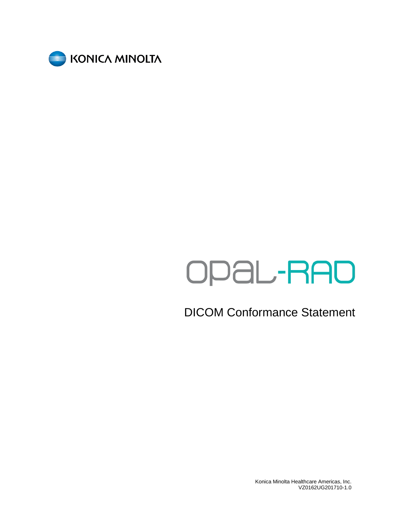

# OPAL-RAD

DICOM Conformance Statement

Konica Minolta Healthcare Americas, Inc. VZ0162UG201710-1.0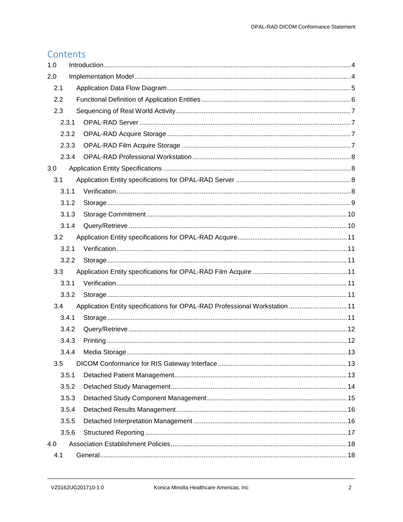# Contents

| 1.0 |       |                                                                             |  |
|-----|-------|-----------------------------------------------------------------------------|--|
| 2.0 |       |                                                                             |  |
| 2.1 |       |                                                                             |  |
| 2.2 |       |                                                                             |  |
| 2.3 |       |                                                                             |  |
|     | 2.3.1 |                                                                             |  |
|     | 2.3.2 |                                                                             |  |
|     | 2.3.3 |                                                                             |  |
|     | 2.3.4 |                                                                             |  |
| 3.0 |       |                                                                             |  |
| 3.1 |       |                                                                             |  |
|     | 3.1.1 |                                                                             |  |
|     | 3.1.2 |                                                                             |  |
|     | 3.1.3 |                                                                             |  |
|     | 3.1.4 |                                                                             |  |
| 3.2 |       |                                                                             |  |
|     | 3.2.1 |                                                                             |  |
|     | 3.2.2 |                                                                             |  |
| 3.3 |       |                                                                             |  |
|     | 3.3.1 |                                                                             |  |
|     | 3.3.2 |                                                                             |  |
| 3.4 |       | Application Entity specifications for OPAL-RAD Professional Workstation  11 |  |
|     | 3.4.1 |                                                                             |  |
|     | 3.4.2 |                                                                             |  |
|     | 3.4.3 |                                                                             |  |
|     | 3.4.4 |                                                                             |  |
| 3.5 |       |                                                                             |  |
|     | 3.5.1 |                                                                             |  |
|     | 3.5.2 |                                                                             |  |
|     | 3.5.3 |                                                                             |  |
|     | 3.5.4 |                                                                             |  |
|     | 3.5.5 |                                                                             |  |
|     | 3.5.6 |                                                                             |  |
| 4.0 |       |                                                                             |  |
| 4.1 |       |                                                                             |  |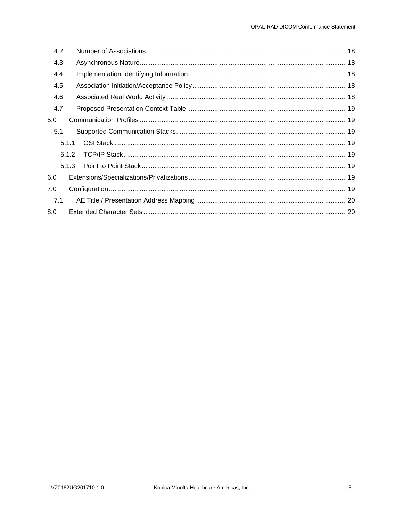| 4.2 |       |  |
|-----|-------|--|
| 4.3 |       |  |
| 4.4 |       |  |
| 4.5 |       |  |
| 4.6 |       |  |
| 4.7 |       |  |
| 5.0 |       |  |
| 5.1 |       |  |
|     | 5.1.1 |  |
|     | 5.1.2 |  |
|     | 5.1.3 |  |
| 6.0 |       |  |
| 7.0 |       |  |
| 7.1 |       |  |
| 8.0 |       |  |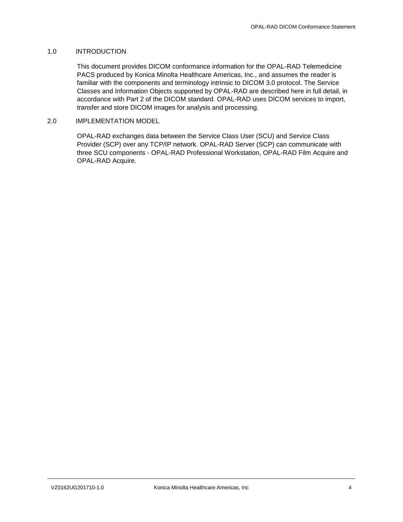#### <span id="page-3-0"></span>1.0 INTRODUCTION

This document provides DICOM conformance information for the OPAL-RAD Telemedicine PACS produced by Konica Minolta Healthcare Americas, Inc., and assumes the reader is familiar with the components and terminology intrinsic to DICOM 3.0 protocol. The Service Classes and Information Objects supported by OPAL-RAD are described here in full detail, in accordance with Part 2 of the DICOM standard. OPAL-RAD uses DICOM services to import, transfer and store DICOM images for analysis and processing.

#### <span id="page-3-1"></span>2.0 IMPLEMENTATION MODEL

OPAL-RAD exchanges data between the Service Class User (SCU) and Service Class Provider (SCP) over any TCP/IP network. OPAL-RAD Server (SCP) can communicate with three SCU components - OPAL-RAD Professional Workstation, OPAL-RAD Film Acquire and OPAL-RAD Acquire.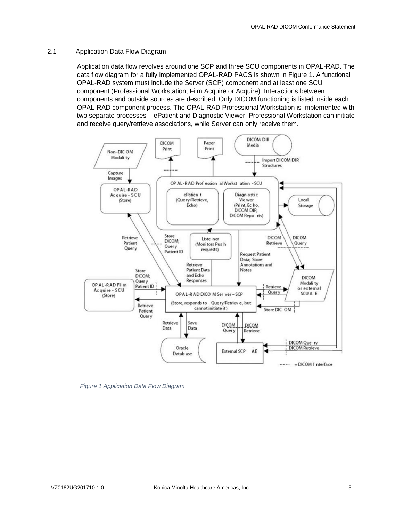#### <span id="page-4-0"></span>2.1 Application Data Flow Diagram

Application data flow revolves around one SCP and three SCU components in OPAL-RAD. The data flow diagram for a fully implemented OPAL-RAD PACS is shown in Figure 1. A functional OPAL-RAD system must include the Server (SCP) component and at least one SCU component (Professional Workstation, Film Acquire or Acquire). Interactions between components and outside sources are described. Only DICOM functioning is listed inside each OPAL-RAD component process. The OPAL-RAD Professional Workstation is implemented with two separate processes – ePatient and Diagnostic Viewer. Professional Workstation can initiate and receive query/retrieve associations, while Server can only receive them.



*Figure 1 Application Data Flow Diagram*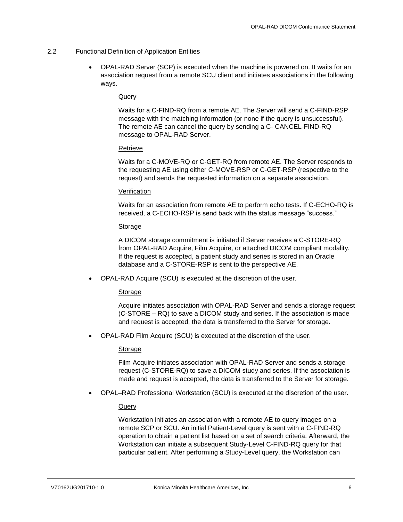#### <span id="page-5-0"></span>2.2 Functional Definition of Application Entities

 OPAL-RAD Server (SCP) is executed when the machine is powered on. It waits for an association request from a remote SCU client and initiates associations in the following ways.

#### Query

Waits for a C-FIND-RQ from a remote AE. The Server will send a C-FIND-RSP message with the matching information (or none if the query is unsuccessful). The remote AE can cancel the query by sending a C- CANCEL-FIND-RQ message to OPAL-RAD Server.

#### Retrieve

Waits for a C-MOVE-RQ or C-GET-RQ from remote AE. The Server responds to the requesting AE using either C-MOVE-RSP or C-GET-RSP (respective to the request) and sends the requested information on a separate association.

#### **Verification**

Waits for an association from remote AE to perform echo tests. If C-ECHO-RQ is received, a C-ECHO-RSP is send back with the status message "success."

#### Storage

A DICOM storage commitment is initiated if Server receives a C-STORE-RQ from OPAL-RAD Acquire, Film Acquire, or attached DICOM compliant modality. If the request is accepted, a patient study and series is stored in an Oracle database and a C-STORE-RSP is sent to the perspective AE.

OPAL-RAD Acquire (SCU) is executed at the discretion of the user.

#### Storage

Acquire initiates association with OPAL-RAD Server and sends a storage request (C-STORE – RQ) to save a DICOM study and series. If the association is made and request is accepted, the data is transferred to the Server for storage.

OPAL-RAD Film Acquire (SCU) is executed at the discretion of the user.

#### Storage

Film Acquire initiates association with OPAL-RAD Server and sends a storage request (C-STORE-RQ) to save a DICOM study and series. If the association is made and request is accepted, the data is transferred to the Server for storage.

OPAL–RAD Professional Workstation (SCU) is executed at the discretion of the user.

#### Query

Workstation initiates an association with a remote AE to query images on a remote SCP or SCU. An initial Patient-Level query is sent with a C-FIND-RQ operation to obtain a patient list based on a set of search criteria. Afterward, the Workstation can initiate a subsequent Study-Level C-FIND-RQ query for that particular patient. After performing a Study-Level query, the Workstation can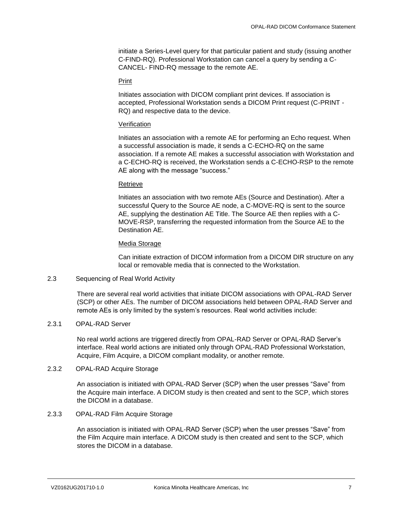initiate a Series-Level query for that particular patient and study (issuing another C-FIND-RQ). Professional Workstation can cancel a query by sending a C-CANCEL- FIND-RQ message to the remote AE.

#### Print

Initiates association with DICOM compliant print devices. If association is accepted, Professional Workstation sends a DICOM Print request (C-PRINT - RQ) and respective data to the device.

#### Verification

Initiates an association with a remote AE for performing an Echo request. When a successful association is made, it sends a C-ECHO-RQ on the same association. If a remote AE makes a successful association with Workstation and a C-ECHO-RQ is received, the Workstation sends a C-ECHO-RSP to the remote AE along with the message "success."

#### Retrieve

Initiates an association with two remote AEs (Source and Destination). After a successful Query to the Source AE node, a C-MOVE-RQ is sent to the source AE, supplying the destination AE Title. The Source AE then replies with a C-MOVE-RSP, transferring the requested information from the Source AE to the Destination AE.

#### Media Storage

Can initiate extraction of DICOM information from a DICOM DIR structure on any local or removable media that is connected to the Workstation.

#### <span id="page-6-0"></span>2.3 Sequencing of Real World Activity

There are several real world activities that initiate DICOM associations with OPAL-RAD Server (SCP) or other AEs. The number of DICOM associations held between OPAL-RAD Server and remote AEs is only limited by the system's resources. Real world activities include:

#### <span id="page-6-1"></span>2.3.1 OPAL-RAD Server

No real world actions are triggered directly from OPAL-RAD Server or OPAL-RAD Server's interface. Real world actions are initiated only through OPAL-RAD Professional Workstation, Acquire, Film Acquire, a DICOM compliant modality, or another remote.

#### <span id="page-6-2"></span>2.3.2 OPAL-RAD Acquire Storage

An association is initiated with OPAL-RAD Server (SCP) when the user presses "Save" from the Acquire main interface. A DICOM study is then created and sent to the SCP, which stores the DICOM in a database.

# <span id="page-6-3"></span>2.3.3 OPAL-RAD Film Acquire Storage

An association is initiated with OPAL-RAD Server (SCP) when the user presses "Save" from the Film Acquire main interface. A DICOM study is then created and sent to the SCP, which stores the DICOM in a database.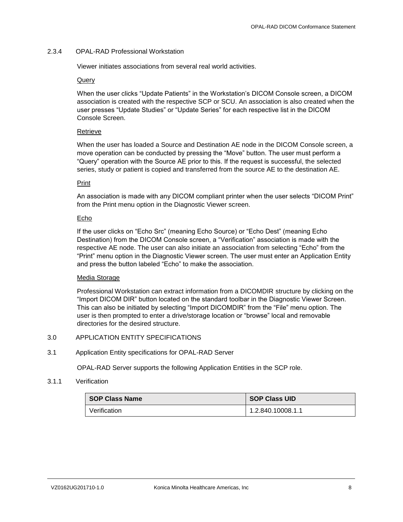### <span id="page-7-0"></span>2.3.4 OPAL-RAD Professional Workstation

Viewer initiates associations from several real world activities.

#### Query

When the user clicks "Update Patients" in the Workstation's DICOM Console screen, a DICOM association is created with the respective SCP or SCU. An association is also created when the user presses "Update Studies" or "Update Series" for each respective list in the DICOM Console Screen.

#### Retrieve

When the user has loaded a Source and Destination AE node in the DICOM Console screen, a move operation can be conducted by pressing the "Move" button. The user must perform a "Query" operation with the Source AE prior to this. If the request is successful, the selected series, study or patient is copied and transferred from the source AE to the destination AE.

#### Print

An association is made with any DICOM compliant printer when the user selects "DICOM Print" from the Print menu option in the Diagnostic Viewer screen.

#### Echo

If the user clicks on "Echo Src" (meaning Echo Source) or "Echo Dest" (meaning Echo Destination) from the DICOM Console screen, a "Verification" association is made with the respective AE node. The user can also initiate an association from selecting "Echo" from the "Print" menu option in the Diagnostic Viewer screen. The user must enter an Application Entity and press the button labeled "Echo" to make the association.

#### Media Storage

Professional Workstation can extract information from a DICOMDIR structure by clicking on the "Import DICOM DIR" button located on the standard toolbar in the Diagnostic Viewer Screen. This can also be initiated by selecting "Import DICOMDIR" from the "File" menu option. The user is then prompted to enter a drive/storage location or "browse" local and removable directories for the desired structure.

# <span id="page-7-1"></span>3.0 APPLICATION ENTITY SPECIFICATIONS

#### <span id="page-7-2"></span>3.1 Application Entity specifications for OPAL-RAD Server

OPAL-RAD Server supports the following Application Entities in the SCP role.

#### <span id="page-7-3"></span>3.1.1 Verification

| <b>SOP Class Name</b> | <b>SOP Class UID</b> |
|-----------------------|----------------------|
| Verification          | 1.2.840.10008.1.1    |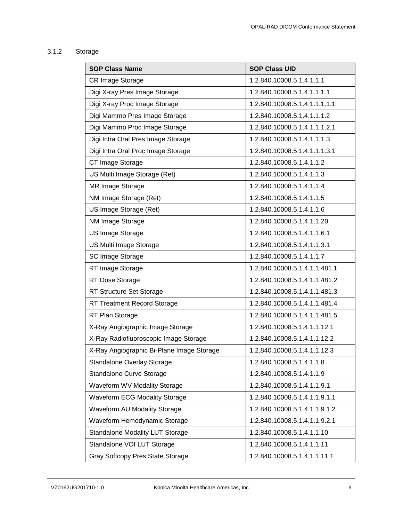# <span id="page-8-0"></span>3.1.2 Storage

| <b>SOP Class Name</b>                     | <b>SOP Class UID</b>          |
|-------------------------------------------|-------------------------------|
| CR Image Storage                          | 1.2.840.10008.5.1.4.1.1.1     |
| Digi X-ray Pres Image Storage             | 1.2.840.10008.5.1.4.1.1.1.1   |
| Digi X-ray Proc Image Storage             | 1.2.840.10008.5.1.4.1.1.1.1.1 |
| Digi Mammo Pres Image Storage             | 1.2.840.10008.5.1.4.1.1.1.2   |
| Digi Mammo Proc Image Storage             | 1.2.840.10008.5.1.4.1.1.1.2.1 |
| Digi Intra Oral Pres Image Storage        | 1.2.840.10008.5.1.4.1.1.1.3   |
| Digi Intra Oral Proc Image Storage        | 1.2.840.10008.5.1.4.1.1.1.3.1 |
| CT Image Storage                          | 1.2.840.10008.5.1.4.1.1.2     |
| US Multi Image Storage (Ret)              | 1.2.840.10008.5.1.4.1.1.3     |
| MR Image Storage                          | 1.2.840.10008.5.1.4.1.1.4     |
| NM Image Storage (Ret)                    | 1.2.840.10008.5.1.4.1.1.5     |
| US Image Storage (Ret)                    | 1.2.840.10008.5.1.4.1.1.6     |
| NM Image Storage                          | 1.2.840.10008.5.1.4.1.1.20    |
| <b>US Image Storage</b>                   | 1.2.840.10008.5.1.4.1.1.6.1   |
| US Multi Image Storage                    | 1.2.840.10008.5.1.4.1.1.3.1   |
| SC Image Storage                          | 1.2.840.10008.5.1.4.1.1.7     |
| RT Image Storage                          | 1.2.840.10008.5.1.4.1.1.481.1 |
| RT Dose Storage                           | 1.2.840.10008.5.1.4.1.1.481.2 |
| RT Structure Set Storage                  | 1.2.840.10008.5.1.4.1.1.481.3 |
| <b>RT Treatment Record Storage</b>        | 1.2.840.10008.5.1.4.1.1.481.4 |
| RT Plan Storage                           | 1.2.840.10008.5.1.4.1.1.481.5 |
| X-Ray Angiographic Image Storage          | 1.2.840.10008.5.1.4.1.1.12.1  |
| X-Ray Radiofluoroscopic Image Storage     | 1.2.840.10008.5.1.4.1.1.12.2  |
| X-Ray Angiographic Bi-Plane Image Storage | 1.2.840.10008.5.1.4.1.1.12.3  |
| Standalone Overlay Storage                | 1.2.840.10008.5.1.4.1.1.8     |
| Standalone Curve Storage                  | 1.2.840.10008.5.1.4.1.1.9     |
| Waveform WV Modality Storage              | 1.2.840.10008.5.1.4.1.1.9.1   |
| <b>Waveform ECG Modality Storage</b>      | 1.2.840.10008.5.1.4.1.1.9.1.1 |
| Waveform AU Modality Storage              | 1.2.840.10008.5.1.4.1.1.9.1.2 |
| Waveform Hemodynamic Storage              | 1.2.840.10008.5.1.4.1.1.9.2.1 |
| <b>Standalone Modality LUT Storage</b>    | 1.2.840.10008.5.1.4.1.1.10    |
| Standalone VOI LUT Storage                | 1.2.840.10008.5.1.4.1.1.11    |
| Gray Softcopy Pres State Storage          | 1.2.840.10008.5.1.4.1.1.11.1  |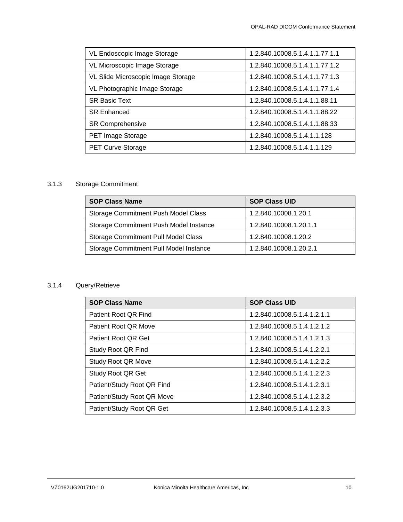| VL Endoscopic Image Storage        | 1.2.840.10008.5.1.4.1.1.77.1.1 |
|------------------------------------|--------------------------------|
| VL Microscopic Image Storage       | 1.2.840.10008.5.1.4.1.1.77.1.2 |
| VL Slide Microscopic Image Storage | 1.2.840.10008.5.1.4.1.1.77.1.3 |
| VL Photographic Image Storage      | 1.2.840.10008.5.1.4.1.1.77.1.4 |
| <b>SR Basic Text</b>               | 1.2.840.10008.5.1.4.1.1.88.11  |
| <b>SR Enhanced</b>                 | 1.2.840.10008.5.1.4.1.1.88.22  |
| <b>SR Comprehensive</b>            | 1.2.840.10008.5.1.4.1.1.88.33  |
| PET Image Storage                  | 1.2.840.10008.5.1.4.1.1.128    |
| <b>PET Curve Storage</b>           | 1.2.840.10008.5.1.4.1.1.129    |

# <span id="page-9-0"></span>3.1.3 Storage Commitment

| <b>SOP Class Name</b>                      | <b>SOP Class UID</b>   |
|--------------------------------------------|------------------------|
| Storage Commitment Push Model Class        | 1.2.840.10008.1.20.1   |
| Storage Commitment Push Model Instance     | 1.2.840.10008.1.20.1.1 |
| <b>Storage Commitment Pull Model Class</b> | 1.2.840.10008.1.20.2   |
| Storage Commitment Pull Model Instance     | 1.2.840.10008.1.20.2.1 |

# <span id="page-9-1"></span>3.1.4 Query/Retrieve

| <b>SOP Class Name</b>      | <b>SOP Class UID</b>        |
|----------------------------|-----------------------------|
| Patient Root QR Find       | 1.2.840.10008.5.1.4.1.2.1.1 |
| Patient Root QR Move       | 1.2.840.10008.5.1.4.1.2.1.2 |
| Patient Root QR Get        | 1.2.840.10008.5.1.4.1.2.1.3 |
| Study Root QR Find         | 1.2.840.10008.5.1.4.1.2.2.1 |
| Study Root QR Move         | 1.2.840.10008.5.1.4.1.2.2.2 |
| Study Root QR Get          | 1.2.840.10008.5.1.4.1.2.2.3 |
| Patient/Study Root QR Find | 1.2.840.10008.5.1.4.1.2.3.1 |
| Patient/Study Root QR Move | 1.2.840.10008.5.1.4.1.2.3.2 |
| Patient/Study Root QR Get  | 1.2.840.10008.5.1.4.1.2.3.3 |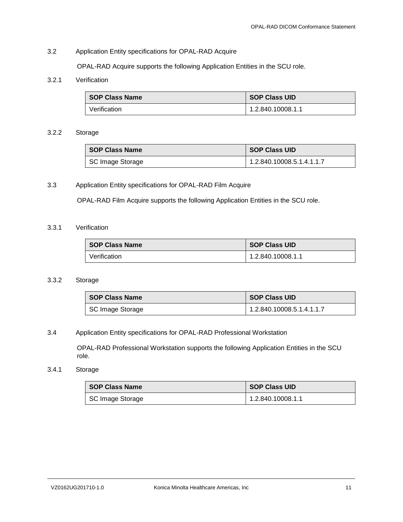# <span id="page-10-0"></span>3.2 Application Entity specifications for OPAL-RAD Acquire

OPAL-RAD Acquire supports the following Application Entities in the SCU role.

# <span id="page-10-1"></span>3.2.1 Verification

| <b>SOP Class Name</b> | <b>SOP Class UID</b> |
|-----------------------|----------------------|
| Verification          | 1.2.840.10008.1.1    |

## <span id="page-10-2"></span>3.2.2 Storage

| <b>SOP Class Name</b> | <b>SOP Class UID</b>      |
|-----------------------|---------------------------|
| SC Image Storage      | 1.2.840.10008.5.1.4.1.1.7 |

# <span id="page-10-3"></span>3.3 Application Entity specifications for OPAL-RAD Film Acquire

OPAL-RAD Film Acquire supports the following Application Entities in the SCU role.

# <span id="page-10-4"></span>3.3.1 Verification

| <b>SOP Class Name</b> | <b>SOP Class UID</b> |
|-----------------------|----------------------|
| Verification          | 1.2.840.10008.1.1    |

# <span id="page-10-5"></span>3.3.2 Storage

| ∣ SOP Class Name | <b>SOP Class UID</b>      |
|------------------|---------------------------|
| SC Image Storage | 1.2.840.10008.5.1.4.1.1.7 |

# <span id="page-10-6"></span>3.4 Application Entity specifications for OPAL-RAD Professional Workstation

OPAL-RAD Professional Workstation supports the following Application Entities in the SCU role.

# <span id="page-10-7"></span>3.4.1 Storage

| <b>SOP Class Name</b> | <b>SOP Class UID</b> |
|-----------------------|----------------------|
| SC Image Storage      | 1.2.840.10008.1.1    |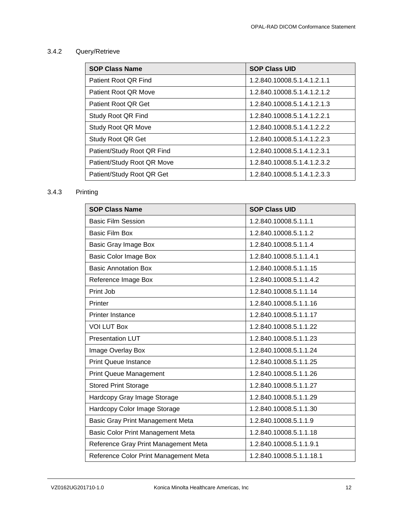# <span id="page-11-0"></span>3.4.2 Query/Retrieve

| <b>SOP Class Name</b>      | <b>SOP Class UID</b>        |
|----------------------------|-----------------------------|
| Patient Root QR Find       | 1.2.840.10008.5.1.4.1.2.1.1 |
| Patient Root QR Move       | 1.2.840.10008.5.1.4.1.2.1.2 |
| Patient Root QR Get        | 1.2.840.10008.5.1.4.1.2.1.3 |
| Study Root QR Find         | 1.2.840.10008.5.1.4.1.2.2.1 |
| Study Root QR Move         | 1.2.840.10008.5.1.4.1.2.2.2 |
| Study Root QR Get          | 1.2.840.10008.5.1.4.1.2.2.3 |
| Patient/Study Root QR Find | 1.2.840.10008.5.1.4.1.2.3.1 |
| Patient/Study Root QR Move | 1.2.840.10008.5.1.4.1.2.3.2 |
| Patient/Study Root QR Get  | 1.2.840.10008.5.1.4.1.2.3.3 |

# <span id="page-11-1"></span>3.4.3 Printing

| <b>SOP Class Name</b>                 | <b>SOP Class UID</b>     |
|---------------------------------------|--------------------------|
| <b>Basic Film Session</b>             | 1.2.840.10008.5.1.1.1    |
| <b>Basic Film Box</b>                 | 1.2.840.10008.5.1.1.2    |
| Basic Gray Image Box                  | 1.2.840.10008.5.1.1.4    |
| <b>Basic Color Image Box</b>          | 1.2.840.10008.5.1.1.4.1  |
| <b>Basic Annotation Box</b>           | 1.2.840.10008.5.1.1.15   |
| Reference Image Box                   | 1.2.840.10008.5.1.1.4.2  |
| Print Job                             | 1.2.840.10008.5.1.1.14   |
| Printer                               | 1.2.840.10008.5.1.1.16   |
| <b>Printer Instance</b>               | 1.2.840.10008.5.1.1.17   |
| <b>VOI LUT Box</b>                    | 1.2.840.10008.5.1.1.22   |
| <b>Presentation LUT</b>               | 1.2.840.10008.5.1.1.23   |
| Image Overlay Box                     | 1.2.840.10008.5.1.1.24   |
| <b>Print Queue Instance</b>           | 1.2.840.10008.5.1.1.25   |
| <b>Print Queue Management</b>         | 1.2.840.10008.5.1.1.26   |
| <b>Stored Print Storage</b>           | 1.2.840.10008.5.1.1.27   |
| Hardcopy Gray Image Storage           | 1.2.840.10008.5.1.1.29   |
| Hardcopy Color Image Storage          | 1.2.840.10008.5.1.1.30   |
| Basic Gray Print Management Meta      | 1.2.840.10008.5.1.1.9    |
| Basic Color Print Management Meta     | 1.2.840.10008.5.1.1.18   |
| Reference Gray Print Management Meta  | 1.2.840.10008.5.1.1.9.1  |
| Reference Color Print Management Meta | 1.2.840.10008.5.1.1.18.1 |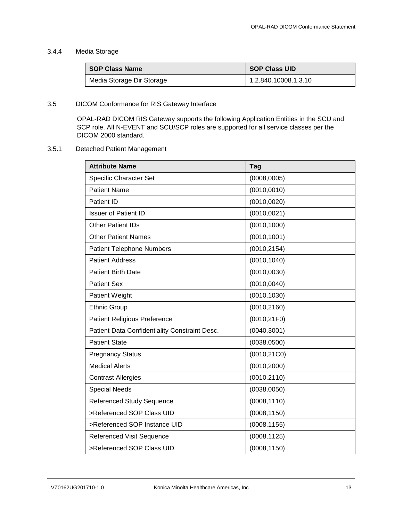# <span id="page-12-0"></span>3.4.4 Media Storage

| <b>SOP Class Name</b>     | <b>SOP Class UID</b> |
|---------------------------|----------------------|
| Media Storage Dir Storage | 1.2.840.10008.1.3.10 |

# <span id="page-12-1"></span>3.5 DICOM Conformance for RIS Gateway Interface

OPAL-RAD DICOM RIS Gateway supports the following Application Entities in the SCU and SCP role. All N-EVENT and SCU/SCP roles are supported for all service classes per the DICOM 2000 standard.

# <span id="page-12-2"></span>3.5.1 Detached Patient Management

| <b>Attribute Name</b>                         | <b>Tag</b>   |
|-----------------------------------------------|--------------|
| Specific Character Set                        | (0008, 0005) |
| <b>Patient Name</b>                           | (0010, 0010) |
| Patient ID                                    | (0010, 0020) |
| <b>Issuer of Patient ID</b>                   | (0010, 0021) |
| <b>Other Patient IDs</b>                      | (0010, 1000) |
| <b>Other Patient Names</b>                    | (0010, 1001) |
| <b>Patient Telephone Numbers</b>              | (0010, 2154) |
| <b>Patient Address</b>                        | (0010, 1040) |
| <b>Patient Birth Date</b>                     | (0010, 0030) |
| <b>Patient Sex</b>                            | (0010, 0040) |
| Patient Weight                                | (0010, 1030) |
| <b>Ethnic Group</b>                           | (0010, 2160) |
| <b>Patient Religious Preference</b>           | (0010, 21F0) |
| Patient Data Confidentiality Constraint Desc. | (0040, 3001) |
| <b>Patient State</b>                          | (0038, 0500) |
| <b>Pregnancy Status</b>                       | (0010, 21C0) |
| <b>Medical Alerts</b>                         | (0010, 2000) |
| <b>Contrast Allergies</b>                     | (0010, 2110) |
| <b>Special Needs</b>                          | (0038, 0050) |
| <b>Referenced Study Sequence</b>              | (0008, 1110) |
| >Referenced SOP Class UID                     | (0008, 1150) |
| >Referenced SOP Instance UID                  | (0008, 1155) |
| <b>Referenced Visit Sequence</b>              | (0008, 1125) |
| >Referenced SOP Class UID                     | (0008, 1150) |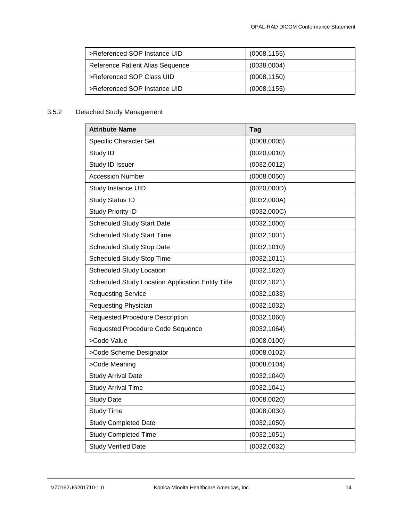| >Referenced SOP Instance UID     | (0008, 1155) |
|----------------------------------|--------------|
| Reference Patient Alias Sequence | (0038,0004)  |
| >Referenced SOP Class UID        | (0008, 1150) |
| >Referenced SOP Instance UID     | (0008, 1155) |

# <span id="page-13-0"></span>3.5.2 Detached Study Management

| <b>Attribute Name</b>                             | <b>Tag</b>   |
|---------------------------------------------------|--------------|
| <b>Specific Character Set</b>                     | (0008, 0005) |
| Study ID                                          | (0020, 0010) |
| Study ID Issuer                                   | (0032,0012)  |
| <b>Accession Number</b>                           | (0008, 0050) |
| Study Instance UID                                | (0020, 000D) |
| <b>Study Status ID</b>                            | (0032,000A)  |
| <b>Study Priority ID</b>                          | (0032,000C)  |
| <b>Scheduled Study Start Date</b>                 | (0032, 1000) |
| <b>Scheduled Study Start Time</b>                 | (0032, 1001) |
| <b>Scheduled Study Stop Date</b>                  | (0032, 1010) |
| <b>Scheduled Study Stop Time</b>                  | (0032, 1011) |
| <b>Scheduled Study Location</b>                   | (0032, 1020) |
| Scheduled Study Location Application Entity Title | (0032, 1021) |
| <b>Requesting Service</b>                         | (0032, 1033) |
| <b>Requesting Physician</b>                       | (0032, 1032) |
| <b>Requested Procedure Description</b>            | (0032, 1060) |
| Requested Procedure Code Sequence                 | (0032, 1064) |
| >Code Value                                       | (0008, 0100) |
| >Code Scheme Designator                           | (0008, 0102) |
| >Code Meaning                                     | (0008, 0104) |
| <b>Study Arrival Date</b>                         | (0032, 1040) |
| <b>Study Arrival Time</b>                         | (0032, 1041) |
| <b>Study Date</b>                                 | (0008, 0020) |
| <b>Study Time</b>                                 | (0008, 0030) |
| <b>Study Completed Date</b>                       | (0032, 1050) |
| <b>Study Completed Time</b>                       | (0032, 1051) |
| <b>Study Verified Date</b>                        | (0032, 0032) |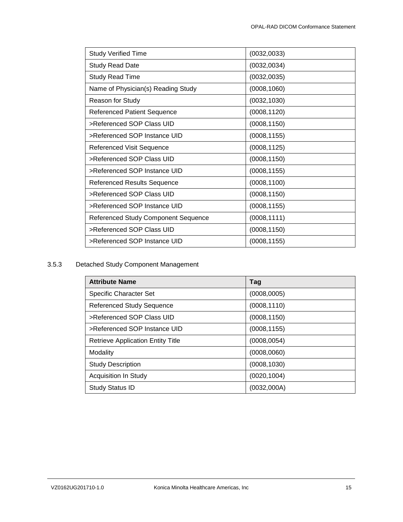| <b>Study Verified Time</b>          | (0032, 0033) |
|-------------------------------------|--------------|
| <b>Study Read Date</b>              | (0032, 0034) |
| <b>Study Read Time</b>              | (0032, 0035) |
| Name of Physician(s) Reading Study  | (0008, 1060) |
| Reason for Study                    | (0032, 1030) |
| <b>Referenced Patient Sequence</b>  | (0008, 1120) |
| >Referenced SOP Class UID           | (0008, 1150) |
| >Referenced SOP Instance UID        | (0008, 1155) |
| Referenced Visit Sequence           | (0008, 1125) |
| >Referenced SOP Class UID           | (0008, 1150) |
| >Referenced SOP Instance UID        | (0008, 1155) |
| <b>Referenced Results Sequence</b>  | (0008, 1100) |
| >Referenced SOP Class UID           | (0008, 1150) |
| >Referenced SOP Instance UID        | (0008, 1155) |
| Referenced Study Component Sequence | (0008, 1111) |
| >Referenced SOP Class UID           | (0008, 1150) |
| >Referenced SOP Instance UID        | (0008, 1155) |

# <span id="page-14-0"></span>3.5.3 Detached Study Component Management

| <b>Attribute Name</b>                    | Tag          |
|------------------------------------------|--------------|
| <b>Specific Character Set</b>            | (0008,0005)  |
| <b>Referenced Study Sequence</b>         | (0008, 1110) |
| >Referenced SOP Class UID                | (0008, 1150) |
| >Referenced SOP Instance UID             | (0008, 1155) |
| <b>Retrieve Application Entity Title</b> | (0008, 0054) |
| Modality                                 | (0008, 0060) |
| <b>Study Description</b>                 | (0008, 1030) |
| <b>Acquisition In Study</b>              | (0020, 1004) |
| <b>Study Status ID</b>                   | (0032,000A)  |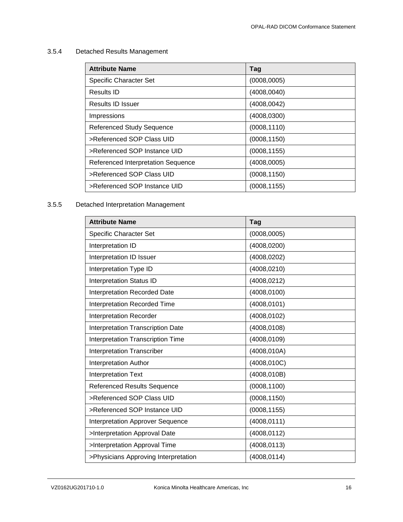# <span id="page-15-0"></span>3.5.4 Detached Results Management

| <b>Attribute Name</b>              | Tag          |
|------------------------------------|--------------|
| <b>Specific Character Set</b>      | (0008,0005)  |
| Results ID                         | (4008,0040)  |
| Results ID Issuer                  | (4008, 0042) |
| Impressions                        | (4008, 0300) |
| <b>Referenced Study Sequence</b>   | (0008, 1110) |
| >Referenced SOP Class UID          | (0008, 1150) |
| >Referenced SOP Instance UID       | (0008, 1155) |
| Referenced Interpretation Sequence | (4008,0005)  |
| >Referenced SOP Class UID          | (0008, 1150) |
| >Referenced SOP Instance UID       | (0008, 1155) |

# <span id="page-15-1"></span>3.5.5 Detached Interpretation Management

| <b>Attribute Name</b>                   | <b>Tag</b>   |
|-----------------------------------------|--------------|
| <b>Specific Character Set</b>           | (0008,0005)  |
| Interpretation ID                       | (4008, 0200) |
| Interpretation ID Issuer                | (4008, 0202) |
| Interpretation Type ID                  | (4008, 0210) |
| <b>Interpretation Status ID</b>         | (4008, 0212) |
| <b>Interpretation Recorded Date</b>     | (4008, 0100) |
| <b>Interpretation Recorded Time</b>     | (4008, 0101) |
| <b>Interpretation Recorder</b>          | (4008, 0102) |
| Interpretation Transcription Date       | (4008, 0108) |
| Interpretation Transcription Time       | (4008, 0109) |
| <b>Interpretation Transcriber</b>       | (4008, 010A) |
| <b>Interpretation Author</b>            | (4008, 010C) |
| <b>Interpretation Text</b>              | (4008, 010B) |
| <b>Referenced Results Sequence</b>      | (0008, 1100) |
| >Referenced SOP Class UID               | (0008, 1150) |
| >Referenced SOP Instance UID            | (0008, 1155) |
| <b>Interpretation Approver Sequence</b> | (4008, 0111) |
| >Interpretation Approval Date           | (4008, 0112) |
| >Interpretation Approval Time           | (4008, 0113) |
| >Physicians Approving Interpretation    | (4008, 0114) |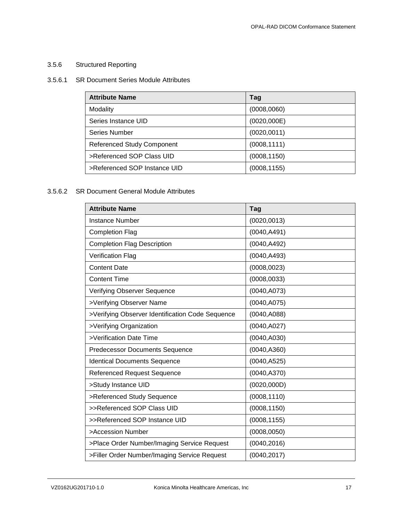# <span id="page-16-0"></span>3.5.6 Structured Reporting

# 3.5.6.1 SR Document Series Module Attributes

| <b>Attribute Name</b>             | Tag          |
|-----------------------------------|--------------|
| Modality                          | (0008, 0060) |
| Series Instance UID               | (0020,000E)  |
| Series Number                     | (0020, 0011) |
| <b>Referenced Study Component</b> | (0008, 1111) |
| >Referenced SOP Class UID         | (0008, 1150) |
| >Referenced SOP Instance UID      | (0008, 1155) |

# 3.5.6.2 SR Document General Module Attributes

| <b>Attribute Name</b>                            | <b>Tag</b>   |
|--------------------------------------------------|--------------|
| <b>Instance Number</b>                           | (0020, 0013) |
| <b>Completion Flag</b>                           | (0040, A491) |
| <b>Completion Flag Description</b>               | (0040, A492) |
| <b>Verification Flag</b>                         | (0040, A493) |
| <b>Content Date</b>                              | (0008, 0023) |
| <b>Content Time</b>                              | (0008, 0033) |
| Verifying Observer Sequence                      | (0040, A073) |
| >Verifying Observer Name                         | (0040, A075) |
| >Verifying Observer Identification Code Sequence | (0040, A088) |
| >Verifying Organization                          | (0040, A027) |
| >Verification Date Time                          | (0040, A030) |
| <b>Predecessor Documents Sequence</b>            | (0040, A360) |
| <b>Identical Documents Sequence</b>              | (0040, A525) |
| <b>Referenced Request Sequence</b>               | (0040, A370) |
| >Study Instance UID                              | (0020, 000D) |
| >Referenced Study Sequence                       | (0008, 1110) |
| >>Referenced SOP Class UID                       | (0008, 1150) |
| >>Referenced SOP Instance UID                    | (0008, 1155) |
| >Accession Number                                | (0008, 0050) |
| >Place Order Number/Imaging Service Request      | (0040, 2016) |
| >Filler Order Number/Imaging Service Request     | (0040, 2017) |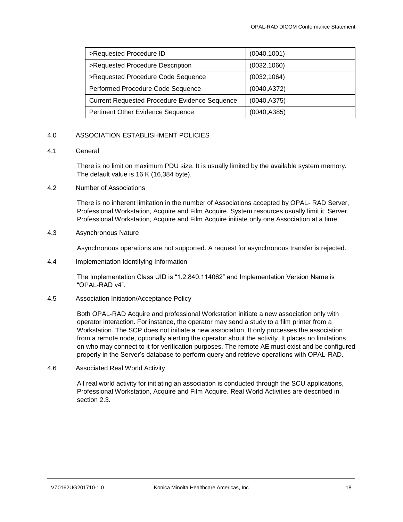| >Requested Procedure ID                              | (0040, 1001) |
|------------------------------------------------------|--------------|
| >Requested Procedure Description                     | (0032, 1060) |
| >Requested Procedure Code Sequence                   | (0032, 1064) |
| Performed Procedure Code Sequence                    | (0040, A372) |
| <b>Current Requested Procedure Evidence Sequence</b> | (0040, A375) |
| Pertinent Other Evidence Sequence                    | (0040, A385) |

# <span id="page-17-0"></span>4.0 ASSOCIATION ESTABLISHMENT POLICIES

# <span id="page-17-1"></span>4.1 General

There is no limit on maximum PDU size. It is usually limited by the available system memory. The default value is 16 K (16,384 byte).

#### <span id="page-17-2"></span>4.2 Number of Associations

There is no inherent limitation in the number of Associations accepted by OPAL- RAD Server, Professional Workstation, Acquire and Film Acquire. System resources usually limit it. Server, Professional Workstation, Acquire and Film Acquire initiate only one Association at a time.

# <span id="page-17-3"></span>4.3 Asynchronous Nature

Asynchronous operations are not supported. A request for asynchronous transfer is rejected.

## <span id="page-17-4"></span>4.4 Implementation Identifying Information

The Implementation Class UID is "1.2.840.114062" and Implementation Version Name is "OPAL-RAD v4".

# <span id="page-17-5"></span>4.5 Association Initiation/Acceptance Policy

Both OPAL-RAD Acquire and professional Workstation initiate a new association only with operator interaction. For instance, the operator may send a study to a film printer from a Workstation. The SCP does not initiate a new association. It only processes the association from a remote node, optionally alerting the operator about the activity. It places no limitations on who may connect to it for verification purposes. The remote AE must exist and be configured properly in the Server's database to perform query and retrieve operations with OPAL-RAD.

<span id="page-17-6"></span>4.6 Associated Real World Activity

All real world activity for initiating an association is conducted through the SCU applications, Professional Workstation, Acquire and Film Acquire. Real World Activities are described in section 2.3.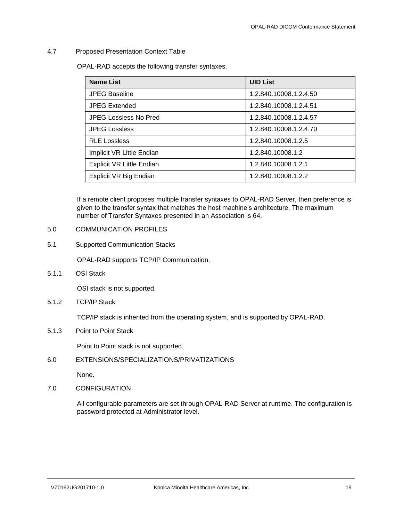## <span id="page-18-0"></span>4.7 Proposed Presentation Context Table

OPAL-RAD accepts the following transfer syntaxes.

| <b>Name List</b>                 | <b>UID List</b>        |
|----------------------------------|------------------------|
| <b>JPEG Baseline</b>             | 1.2.840.10008.1.2.4.50 |
| <b>JPEG Extended</b>             | 1.2.840.10008.1.2.4.51 |
| <b>JPEG Lossless No Pred</b>     | 1.2.840.10008.1.2.4.57 |
| <b>JPEG Lossless</b>             | 1.2.840.10008.1.2.4.70 |
| <b>RLE Lossless</b>              | 1.2.840.10008.1.2.5    |
| Implicit VR Little Endian        | 1.2.840.10008.1.2      |
| <b>Explicit VR Little Endian</b> | 1.2.840.10008.1.2.1    |
| Explicit VR Big Endian           | 1.2.840.10008.1.2.2    |

If a remote client proposes multiple transfer syntaxes to OPAL-RAD Server, then preference is given to the transfer syntax that matches the host machine's architecture. The maximum number of Transfer Syntaxes presented in an Association is 64.

## <span id="page-18-1"></span>5.0 COMMUNICATION PROFILES

# <span id="page-18-2"></span>5.1 Supported Communication Stacks

OPAL-RAD supports TCP/IP Communication.

<span id="page-18-3"></span>5.1.1 OSI Stack

OSI stack is not supported.

<span id="page-18-4"></span>5.1.2 TCP/IP Stack

TCP/IP stack is inherited from the operating system, and is supported by OPAL-RAD.

<span id="page-18-5"></span>5.1.3 Point to Point Stack

Point to Point stack is not supported.

<span id="page-18-6"></span>6.0 EXTENSIONS/SPECIALIZATIONS/PRIVATIZATIONS

None.

# <span id="page-18-7"></span>7.0 CONFIGURATION

All configurable parameters are set through OPAL-RAD Server at runtime. The configuration is password protected at Administrator level.